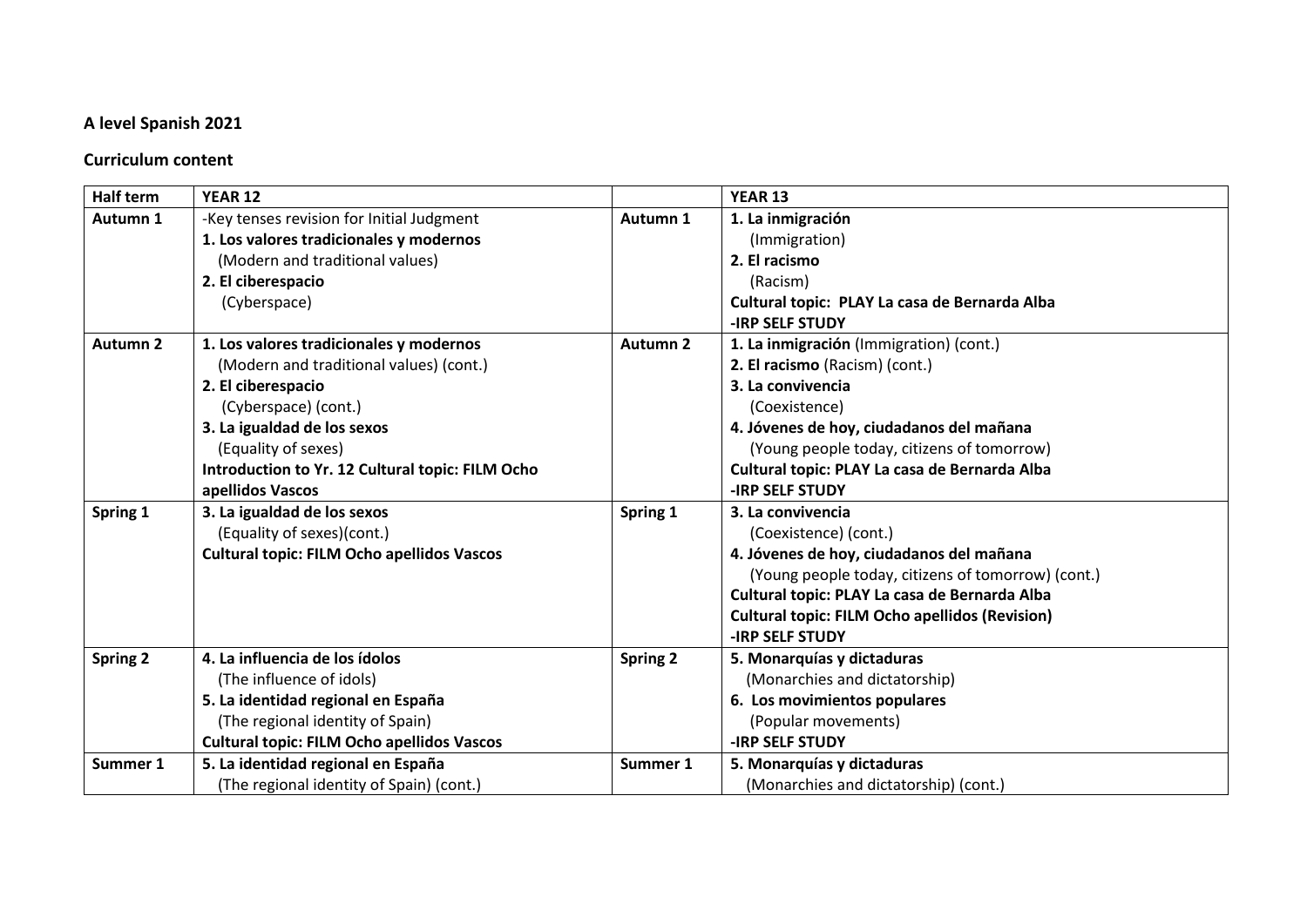## **A level Spanish 2021**

## **Curriculum content**

| <b>Half term</b> | <b>YEAR 12</b>                                                                                                                                                                                                                                                 |                 | <b>YEAR 13</b>                                                                                                                                                                                                                                                                   |
|------------------|----------------------------------------------------------------------------------------------------------------------------------------------------------------------------------------------------------------------------------------------------------------|-----------------|----------------------------------------------------------------------------------------------------------------------------------------------------------------------------------------------------------------------------------------------------------------------------------|
| Autumn 1         | -Key tenses revision for Initial Judgment<br>1. Los valores tradicionales y modernos<br>(Modern and traditional values)<br>2. El ciberespacio                                                                                                                  | Autumn 1        | 1. La inmigración<br>(Immigration)<br>2. El racismo<br>(Racism)                                                                                                                                                                                                                  |
|                  | (Cyberspace)                                                                                                                                                                                                                                                   |                 | Cultural topic: PLAY La casa de Bernarda Alba<br><b>-IRP SELF STUDY</b>                                                                                                                                                                                                          |
| <b>Autumn 2</b>  | 1. Los valores tradicionales y modernos<br>(Modern and traditional values) (cont.)<br>2. El ciberespacio<br>(Cyberspace) (cont.)<br>3. La igualdad de los sexos<br>(Equality of sexes)<br>Introduction to Yr. 12 Cultural topic: FILM Ocho<br>apellidos Vascos | <b>Autumn 2</b> | 1. La inmigración (Immigration) (cont.)<br>2. El racismo (Racism) (cont.)<br>3. La convivencia<br>(Coexistence)<br>4. Jóvenes de hoy, ciudadanos del mañana<br>(Young people today, citizens of tomorrow)<br>Cultural topic: PLAY La casa de Bernarda Alba<br>-IRP SELF STUDY    |
| Spring 1         | 3. La igualdad de los sexos<br>(Equality of sexes)(cont.)<br><b>Cultural topic: FILM Ocho apellidos Vascos</b>                                                                                                                                                 | Spring 1        | 3. La convivencia<br>(Coexistence) (cont.)<br>4. Jóvenes de hoy, ciudadanos del mañana<br>(Young people today, citizens of tomorrow) (cont.)<br>Cultural topic: PLAY La casa de Bernarda Alba<br><b>Cultural topic: FILM Ocho apellidos (Revision)</b><br><b>-IRP SELF STUDY</b> |
| <b>Spring 2</b>  | 4. La influencia de los ídolos<br>(The influence of idols)<br>5. La identidad regional en España<br>(The regional identity of Spain)<br><b>Cultural topic: FILM Ocho apellidos Vascos</b>                                                                      | <b>Spring 2</b> | 5. Monarquías y dictaduras<br>(Monarchies and dictatorship)<br>6. Los movimientos populares<br>(Popular movements)<br><b>-IRP SELF STUDY</b>                                                                                                                                     |
| Summer 1         | 5. La identidad regional en España<br>(The regional identity of Spain) (cont.)                                                                                                                                                                                 | Summer 1        | 5. Monarquías y dictaduras<br>(Monarchies and dictatorship) (cont.)                                                                                                                                                                                                              |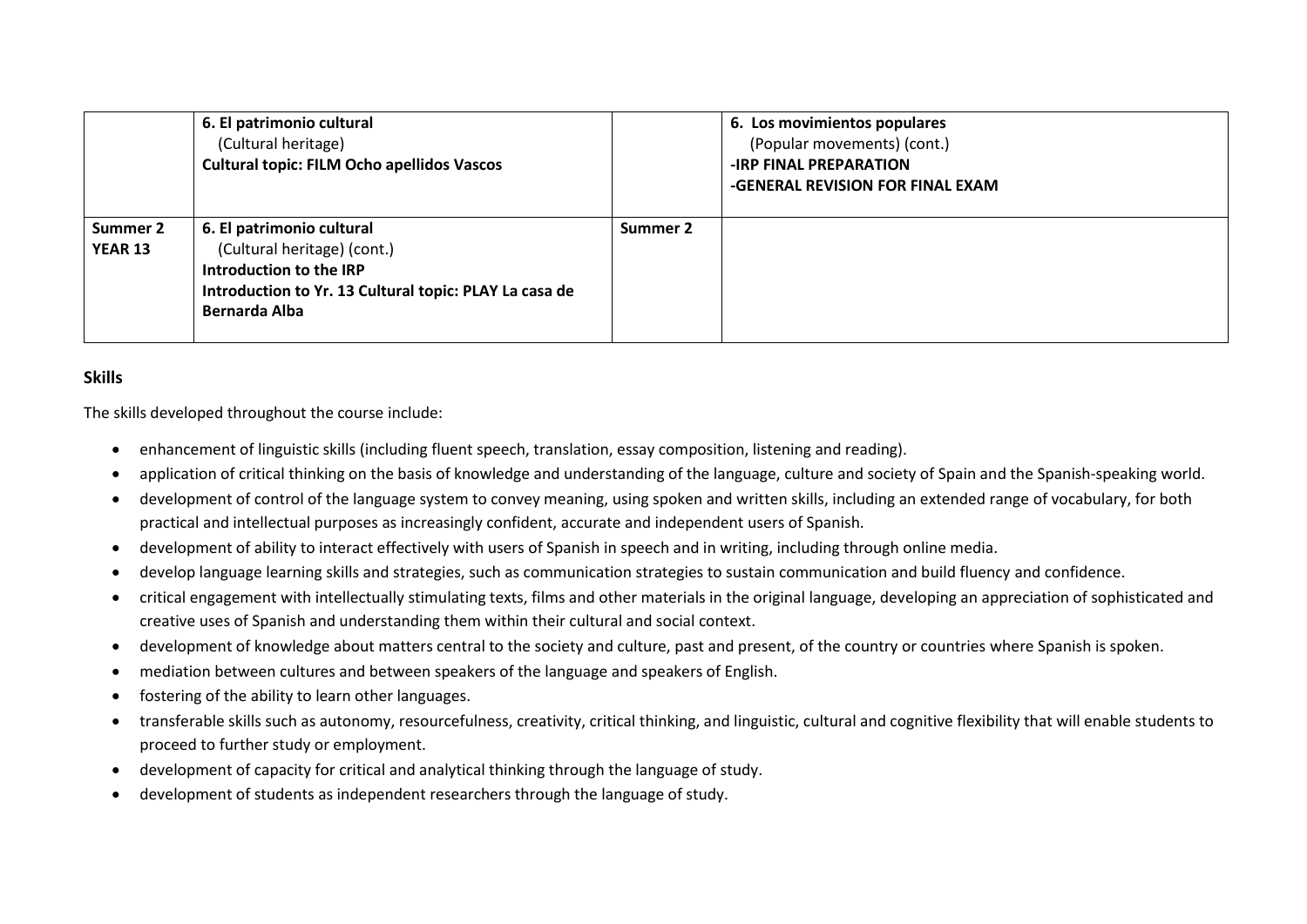|                            | 6. El patrimonio cultural<br>(Cultural heritage)<br><b>Cultural topic: FILM Ocho apellidos Vascos</b>                                                          |          | 6. Los movimientos populares<br>(Popular movements) (cont.)<br><b>-IRP FINAL PREPARATION</b><br>-GENERAL REVISION FOR FINAL EXAM |
|----------------------------|----------------------------------------------------------------------------------------------------------------------------------------------------------------|----------|----------------------------------------------------------------------------------------------------------------------------------|
| Summer 2<br><b>YEAR 13</b> | 6. El patrimonio cultural<br>(Cultural heritage) (cont.)<br>Introduction to the IRP<br>Introduction to Yr. 13 Cultural topic: PLAY La casa de<br>Bernarda Alba | Summer 2 |                                                                                                                                  |

## **Skills**

The skills developed throughout the course include:

- enhancement of linguistic skills (including fluent speech, translation, essay composition, listening and reading).
- application of critical thinking on the basis of knowledge and understanding of the language, culture and society of Spain and the Spanish-speaking world.
- development of control of the language system to convey meaning, using spoken and written skills, including an extended range of vocabulary, for both practical and intellectual purposes as increasingly confident, accurate and independent users of Spanish.
- development of ability to interact effectively with users of Spanish in speech and in writing, including through online media.
- develop language learning skills and strategies, such as communication strategies to sustain communication and build fluency and confidence.
- critical engagement with intellectually stimulating texts, films and other materials in the original language, developing an appreciation of sophisticated and creative uses of Spanish and understanding them within their cultural and social context.
- development of knowledge about matters central to the society and culture, past and present, of the country or countries where Spanish is spoken.
- mediation between cultures and between speakers of the language and speakers of English.
- fostering of the ability to learn other languages.
- transferable skills such as autonomy, resourcefulness, creativity, critical thinking, and linguistic, cultural and cognitive flexibility that will enable students to proceed to further study or employment.
- development of capacity for critical and analytical thinking through the language of study.
- development of students as independent researchers through the language of study.